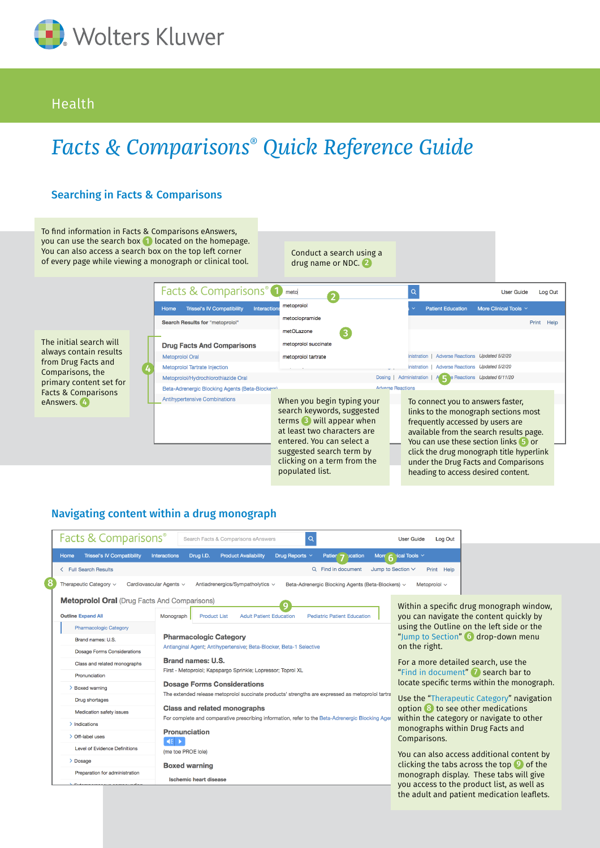

## Health

# *Facts & Comparisons® Quick Reference Guide*



To find information in Facts & Comparisons eAnswers, you can use the search box **1** located on the homepage. You can also access a search box on the top left corner of every page while viewing a

The initial search will always contain results from Drug Facts and Comparisons, the primary content set for Facts & Comparisons eAnswers. 4

ľ

|  | a monograph or clinical tool.                                    | Conduct a scarch using a<br>drug name or NDC. 2                                                                                                                                                             |                          |                                                                                                                                                                                                                                                                                      |  |
|--|------------------------------------------------------------------|-------------------------------------------------------------------------------------------------------------------------------------------------------------------------------------------------------------|--------------------------|--------------------------------------------------------------------------------------------------------------------------------------------------------------------------------------------------------------------------------------------------------------------------------------|--|
|  | Facts & Comparisons <sup>®</sup>                                 | meto                                                                                                                                                                                                        |                          | $\alpha$<br><b>User Guide</b><br>Log Out                                                                                                                                                                                                                                             |  |
|  | <b>Trissel's IV Compatibility</b><br><b>Interactions</b><br>Home | metoprolol                                                                                                                                                                                                  |                          | <b>Patient Education</b><br>More Clinical Tools $\vee$                                                                                                                                                                                                                               |  |
|  | Search Results for "metoprolol"                                  | metoclopramide                                                                                                                                                                                              |                          | Print<br>Help                                                                                                                                                                                                                                                                        |  |
|  |                                                                  | metOLazone<br>3                                                                                                                                                                                             |                          |                                                                                                                                                                                                                                                                                      |  |
|  | <b>Drug Facts And Comparisons</b>                                | metoprolol succinate                                                                                                                                                                                        |                          |                                                                                                                                                                                                                                                                                      |  |
|  | Metoprolol Oral                                                  | metoprolol tartrate                                                                                                                                                                                         |                          | Adverse Reactions Updated 5/2/20<br>inistration                                                                                                                                                                                                                                      |  |
|  | <b>Metoprolol Tartrate Injection</b>                             |                                                                                                                                                                                                             |                          | <b>Adverse Reactions</b><br>Updated 5/2/20<br>inistration                                                                                                                                                                                                                            |  |
|  | Metoprolol/Hydrochlorothiazide Oral                              |                                                                                                                                                                                                             |                          | Dosing   Administration<br>A Reactions Updated 6/11/20                                                                                                                                                                                                                               |  |
|  | Beta-Adrenergic Blocking Agents (Beta-Blockere)                  |                                                                                                                                                                                                             | <b>Adverse Reactions</b> |                                                                                                                                                                                                                                                                                      |  |
|  | <b>Antihypertensive Combinations</b>                             | When you begin typing your<br>search keywords, suggested<br>terms 3 will appear when<br>at least two characters are<br>entered. You can select a<br>suggested search term by<br>clicking on a term from the |                          | To connect you to answers faster,<br>links to the monograph sections most<br>frequently accessed by users are<br>available from the search results page.<br>You can use these section links 5 or<br>click the drug monograph title hyperlink<br>under the Drug Facts and Comparisons |  |
|  |                                                                  | populated list.                                                                                                                                                                                             |                          | heading to access desired content.                                                                                                                                                                                                                                                   |  |

 $\frac{d}{dx}$  a search using

### Navigating content within a drug monograph

| <b>Facts &amp; Comparisons®</b>                                                                                                                                      | <b>User Guide</b><br>Log Out                                                                                                                        |                                                                                                                                                                                                                                                                                                                                                                                                                                                         |  |  |  |  |  |
|----------------------------------------------------------------------------------------------------------------------------------------------------------------------|-----------------------------------------------------------------------------------------------------------------------------------------------------|---------------------------------------------------------------------------------------------------------------------------------------------------------------------------------------------------------------------------------------------------------------------------------------------------------------------------------------------------------------------------------------------------------------------------------------------------------|--|--|--|--|--|
| <b>Trissel's IV Compatibility</b><br>Home                                                                                                                            | Drug I.D.<br><b>Interactions</b><br><b>Product Availability</b><br>Drug Reports $\vee$<br>Patien $\rightarrow$<br>ucation                           | More $\overline{6}$ lical Tools $\overline{6}$                                                                                                                                                                                                                                                                                                                                                                                                          |  |  |  |  |  |
| Q Find in document<br>Jump to Section V<br>< Full Search Results<br>Print Help                                                                                       |                                                                                                                                                     |                                                                                                                                                                                                                                                                                                                                                                                                                                                         |  |  |  |  |  |
| Therapeutic Category $\sim$<br>Cardiovascular Agents v<br>Antiadrenergics/Sympatholytics v<br>Beta-Adrenergic Blocking Agents (Beta-Blockers) v<br>Metoprolol $\sim$ |                                                                                                                                                     |                                                                                                                                                                                                                                                                                                                                                                                                                                                         |  |  |  |  |  |
| <b>Metoprolol Oral (Drug Facts And Comparisons)</b>                                                                                                                  | Within a specific drug monograph window,                                                                                                            |                                                                                                                                                                                                                                                                                                                                                                                                                                                         |  |  |  |  |  |
| <b>Outline Expand All</b>                                                                                                                                            | you can navigate the content quickly by<br><b>Product List</b><br><b>Adult Patient Education</b><br><b>Pediatric Patient Education</b><br>Monograph |                                                                                                                                                                                                                                                                                                                                                                                                                                                         |  |  |  |  |  |
| <b>Pharmacologic Category</b>                                                                                                                                        |                                                                                                                                                     | using the Outline on the left side or the<br>"Jump to Section" 6 drop-down menu<br>on the right.                                                                                                                                                                                                                                                                                                                                                        |  |  |  |  |  |
| Brand names: U.S.                                                                                                                                                    | <b>Pharmacologic Category</b>                                                                                                                       |                                                                                                                                                                                                                                                                                                                                                                                                                                                         |  |  |  |  |  |
| <b>Dosage Forms Considerations</b>                                                                                                                                   | Antianginal Agent; Antihypertensive; Beta-Blocker, Beta-1 Selective                                                                                 |                                                                                                                                                                                                                                                                                                                                                                                                                                                         |  |  |  |  |  |
| Class and related monographs                                                                                                                                         | <b>Brand names: U.S.</b>                                                                                                                            | For a more detailed search, use the<br>"Find in document" a search bar to<br>locate specific terms within the monograph.<br>Use the "Therapeutic Category" navigation<br>option 8 to see other medications<br>within the category or navigate to other<br>monographs within Drug Facts and<br>Comparisons.<br>You can also access additional content by<br>clicking the tabs across the top $\bullet$ of the<br>monograph display. These tabs will give |  |  |  |  |  |
| Pronunciation                                                                                                                                                        | First - Metoprolol; Kapspargo Sprinkle; Lopressor; Toprol XL                                                                                        |                                                                                                                                                                                                                                                                                                                                                                                                                                                         |  |  |  |  |  |
| > Boxed warning                                                                                                                                                      | <b>Dosage Forms Considerations</b>                                                                                                                  |                                                                                                                                                                                                                                                                                                                                                                                                                                                         |  |  |  |  |  |
| Drug shortages                                                                                                                                                       | The extended release metoprolol succinate products' strengths are expressed as metoprolol tartra                                                    |                                                                                                                                                                                                                                                                                                                                                                                                                                                         |  |  |  |  |  |
| Medication safety issues                                                                                                                                             | <b>Class and related monographs</b>                                                                                                                 |                                                                                                                                                                                                                                                                                                                                                                                                                                                         |  |  |  |  |  |
| $\geq$ Indications                                                                                                                                                   | For complete and comparative prescribing information, refer to the Beta-Adrenergic Blocking Age                                                     |                                                                                                                                                                                                                                                                                                                                                                                                                                                         |  |  |  |  |  |
| > Off-label uses                                                                                                                                                     | <b>Pronunciation</b><br>$45 +$                                                                                                                      |                                                                                                                                                                                                                                                                                                                                                                                                                                                         |  |  |  |  |  |
| <b>Level of Evidence Definitions</b>                                                                                                                                 | (me toe PROE lole)                                                                                                                                  |                                                                                                                                                                                                                                                                                                                                                                                                                                                         |  |  |  |  |  |
| $\geq$ Dosage                                                                                                                                                        | <b>Boxed warning</b>                                                                                                                                |                                                                                                                                                                                                                                                                                                                                                                                                                                                         |  |  |  |  |  |
| Preparation for administration                                                                                                                                       | <b>Ischemic heart disease</b>                                                                                                                       |                                                                                                                                                                                                                                                                                                                                                                                                                                                         |  |  |  |  |  |
|                                                                                                                                                                      |                                                                                                                                                     | you access to the product list, as well as<br>the adult and patient medication leaflets.                                                                                                                                                                                                                                                                                                                                                                |  |  |  |  |  |